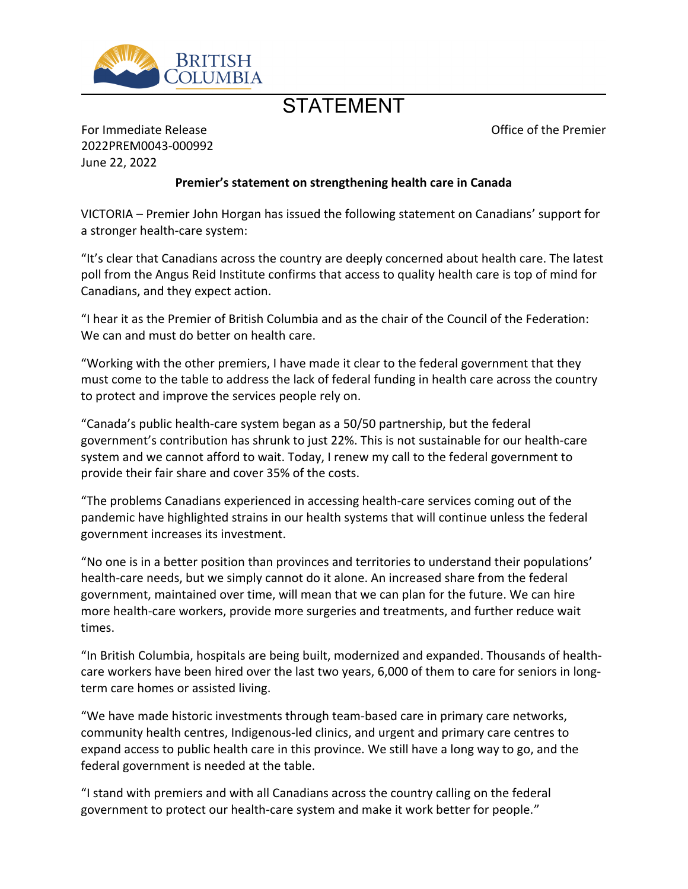

## **STATEMENT**

Office of the Premier

For Immediate Release 2022PREM0043-000992 June 22, 2022

## **Premier͛s statement on strengthening health care in Canada**

VICTORIA – Premier John Horgan has issued the following statement on Canadians' support for a stronger health-care system:

"It's clear that Canadians across the country are deeply concerned about health care. The latest poll from the Angus Reid Institute confirms that access to quality health care is top of mind for Canadians, and they expect action.

͞I hear it as the Premier of British Columbia and as the chair of the Council of the Federation: We can and must do better on health care.

͞Working with the other premiers, I have made it clear to the federal government that they must come to the table to address the lack of federal funding in health care across the country to protect and improve the services people rely on.

͞Canada͛s public health-care system began as a 50/50 partnership, but the federal government's contribution has shrunk to just 22%. This is not sustainable for our health-care system and we cannot afford to wait. Today, I renew my call to the federal government to provide their fair share and cover 35% of the costs.

͞The problems Canadians experienced in accessing health-care services coming out of the pandemic have highlighted strains in our health systems that will continue unless the federal government increases its investment.

"No one is in a better position than provinces and territories to understand their populations' health-care needs, but we simply cannot do it alone. An increased share from the federal government, maintained over time, will mean that we can plan for the future. We can hire more health-care workers, provide more surgeries and treatments, and further reduce wait times.

"In British Columbia, hospitals are being built, modernized and expanded. Thousands of healthcare workers have been hired over the last two years, 6,000 of them to care for seniors in longterm care homes or assisted living.

͞We have made historic investments through team-based care in primary care networks, community health centres, Indigenous-led clinics, and urgent and primary care centres to expand access to public health care in this province. We still have a long way to go, and the federal government is needed at the table.

͞I stand with premiers and with all Canadians across the country calling on the federal government to protect our health-care system and make it work better for people."